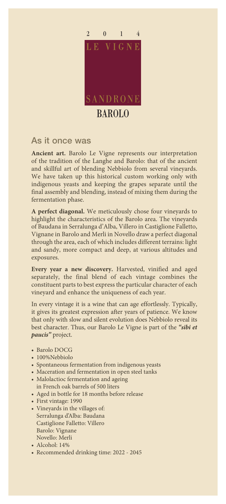

## As it once was

**Ancient art.** Barolo Le Vigne represents our interpretation of the tradition of the Langhe and Barolo: that of the ancient and skillful art of blending Nebbiolo from several vineyards. We have taken up this historical custom working only with indigenous yeasts and keeping the grapes separate until the final assembly and blending, instead of mixing them during the fermentation phase.

**A perfect diagonal.** We meticulously chose four vineyards to highlight the characteristics of the Barolo area. The vineyards of Baudana in Serralunga d'Alba, Villero in Castiglione Falletto, Vignane in Barolo and Merli in Novello draw a perfect diagonal through the area, each of which includes different terrains: light and sandy, more compact and deep, at various altitudes and exposures.

**Every year a new discovery.** Harvested, vinified and aged separately, the final blend of each vintage combines the constituent parts to best express the particular character of each vineyard and enhance the uniqueness of each year.

In every vintage it is a wine that can age effortlessly. Typically, it gives its greatest expression after years of patience. We know that only with slow and silent evolution does Nebbiolo reveal its best character. Thus, our Barolo Le Vigne is part of the *"sibi et paucis"* project.

- Barolo DOCG
- 100%Nebbiolo
- Spontaneous fermentation from indigenous yeasts
- Maceration and fermentation in open steel tanks
- Malolactioc fermentation and ageing in French oak barrels of 500 liters
- Aged in bottle for 18 months before release
- First vintage: 1990
- Vineyards in the villages of: Serralunga d'Alba: Baudana Castiglione Falletto: Villero Barolo: Vignane Novello: Merli
- Alcohol: 14%
- Recommended drinking time: 2022 2045